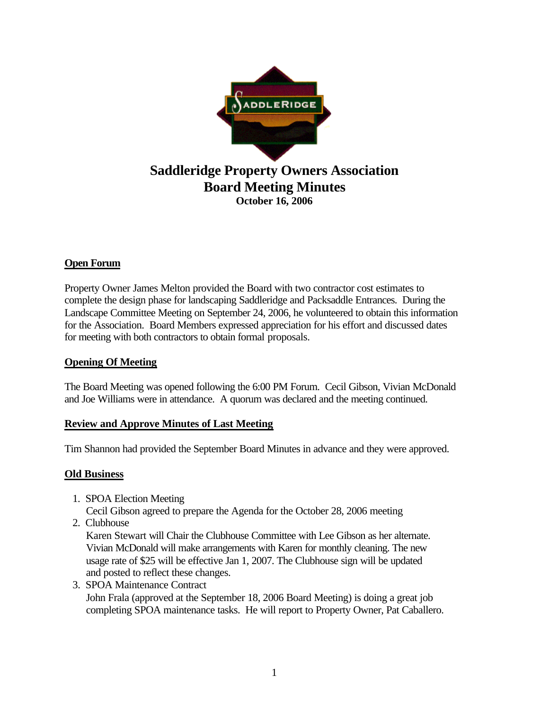

# **Open Forum**

Property Owner James Melton provided the Board with two contractor cost estimates to complete the design phase for landscaping Saddleridge and Packsaddle Entrances. During the Landscape Committee Meeting on September 24, 2006, he volunteered to obtain this information for the Association. Board Members expressed appreciation for his effort and discussed dates for meeting with both contractors to obtain formal proposals.

### **Opening Of Meeting**

The Board Meeting was opened following the 6:00 PM Forum. Cecil Gibson, Vivian McDonald and Joe Williams were in attendance. A quorum was declared and the meeting continued.

### **Review and Approve Minutes of Last Meeting**

Tim Shannon had provided the September Board Minutes in advance and they were approved.

### **Old Business**

- 1. SPOA Election Meeting Cecil Gibson agreed to prepare the Agenda for the October 28, 2006 meeting
- 2. Clubhouse

 Karen Stewart will Chair the Clubhouse Committee with Lee Gibson as her alternate. Vivian McDonald will make arrangements with Karen for monthly cleaning. The new usage rate of \$25 will be effective Jan 1, 2007. The Clubhouse sign will be updated and posted to reflect these changes.

 3. SPOA Maintenance Contract John Frala (approved at the September 18, 2006 Board Meeting) is doing a great job completing SPOA maintenance tasks. He will report to Property Owner, Pat Caballero.